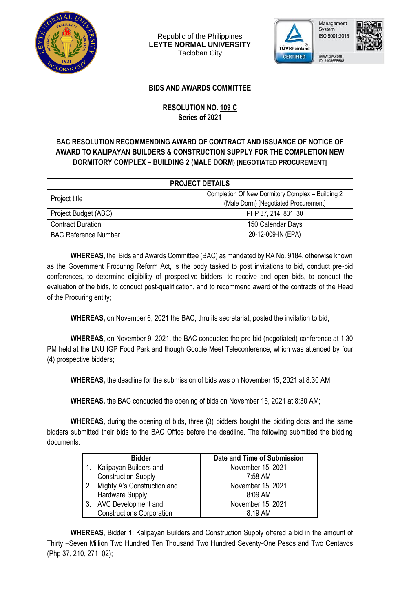

Republic of the Philippines **LEYTE NORMAL UNIVERSITY** Tacloban City



ISO 9001:2015



## **BIDS AND AWARDS COMMITTEE**

## **RESOLUTION NO. 109 C Series of 2021**

## **BAC RESOLUTION RECOMMENDING AWARD OF CONTRACT AND ISSUANCE OF NOTICE OF AWARD TO KALIPAYAN BUILDERS & CONSTRUCTION SUPPLY FOR THE COMPLETION NEW DORMITORY COMPLEX – BUILDING 2 (MALE DORM) [NEGOTIATED PROCUREMENT]**

| <b>PROJECT DETAILS</b>      |                                                  |  |  |  |
|-----------------------------|--------------------------------------------------|--|--|--|
|                             | Completion Of New Dormitory Complex - Building 2 |  |  |  |
| Project title               | (Male Dorm) [Negotiated Procurement]             |  |  |  |
| Project Budget (ABC)        | PHP 37, 214, 831, 30                             |  |  |  |
| <b>Contract Duration</b>    | 150 Calendar Days                                |  |  |  |
| <b>BAC Reference Number</b> | 20-12-009-IN (EPA)                               |  |  |  |

**WHEREAS,** the Bids and Awards Committee (BAC) as mandated by RA No. 9184, otherwise known as the Government Procuring Reform Act, is the body tasked to post invitations to bid, conduct pre-bid conferences, to determine eligibility of prospective bidders, to receive and open bids, to conduct the evaluation of the bids, to conduct post-qualification, and to recommend award of the contracts of the Head of the Procuring entity;

**WHEREAS,** on November 6, 2021 the BAC, thru its secretariat, posted the invitation to bid;

**WHEREAS**, on November 9, 2021, the BAC conducted the pre-bid (negotiated) conference at 1:30 PM held at the LNU IGP Food Park and though Google Meet Teleconference, which was attended by four (4) prospective bidders;

**WHEREAS,** the deadline for the submission of bids was on November 15, 2021 at 8:30 AM;

**WHEREAS,** the BAC conducted the opening of bids on November 15, 2021 at 8:30 AM;

**WHEREAS,** during the opening of bids, three (3) bidders bought the bidding docs and the same bidders submitted their bids to the BAC Office before the deadline. The following submitted the bidding documents:

| <b>Bidder</b> |                                  | Date and Time of Submission |  |
|---------------|----------------------------------|-----------------------------|--|
|               | Kalipayan Builders and           | November 15, 2021           |  |
|               | <b>Construction Supply</b>       | 7:58 AM                     |  |
| 2.            | Mighty A's Construction and      | November 15, 2021           |  |
|               | <b>Hardware Supply</b>           | 8:09 AM                     |  |
|               | 3. AVC Development and           | November 15, 2021           |  |
|               | <b>Constructions Corporation</b> | 8:19 AM                     |  |

**WHEREAS**, Bidder 1: Kalipayan Builders and Construction Supply offered a bid in the amount of Thirty –Seven Million Two Hundred Ten Thousand Two Hundred Seventy-One Pesos and Two Centavos (Php 37, 210, 271. 02);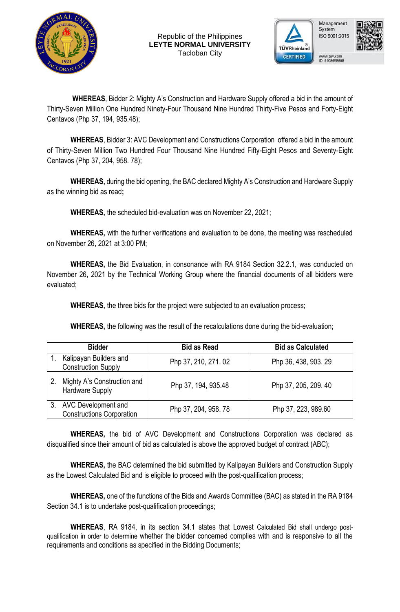





www.tuv.com<br>ID 9108658608

**WHEREAS**, Bidder 2: Mighty A's Construction and Hardware Supply offered a bid in the amount of Thirty-Seven Million One Hundred Ninety-Four Thousand Nine Hundred Thirty-Five Pesos and Forty-Eight Centavos (Php 37, 194, 935.48);

**WHEREAS**, Bidder 3: AVC Development and Constructions Corporation offered a bid in the amount of Thirty-Seven Million Two Hundred Four Thousand Nine Hundred Fifty-Eight Pesos and Seventy-Eight Centavos (Php 37, 204, 958. 78);

**WHEREAS,** during the bid opening, the BAC declared Mighty A's Construction and Hardware Supply as the winning bid as read**;** 

**WHEREAS,** the scheduled bid-evaluation was on November 22, 2021;

**WHEREAS,** with the further verifications and evaluation to be done, the meeting was rescheduled on November 26, 2021 at 3:00 PM;

**WHEREAS,** the Bid Evaluation, in consonance with RA 9184 Section 32.2.1, was conducted on November 26, 2021 by the Technical Working Group where the financial documents of all bidders were evaluated;

**WHEREAS,** the three bids for the project were subjected to an evaluation process;

**WHEREAS,** the following was the result of the recalculations done during the bid-evaluation;

|    | <b>Bidder</b>                                                  | <b>Bid as Read</b>  | <b>Bid as Calculated</b> |
|----|----------------------------------------------------------------|---------------------|--------------------------|
|    | Kalipayan Builders and<br><b>Construction Supply</b>           | Php 37, 210, 271.02 | Php 36, 438, 903. 29     |
| 2. | Mighty A's Construction and<br>Hardware Supply                 | Php 37, 194, 935.48 | Php 37, 205, 209. 40     |
|    | <b>AVC Development and</b><br><b>Constructions Corporation</b> | Php 37, 204, 958.78 | Php 37, 223, 989.60      |

**WHEREAS,** the bid of AVC Development and Constructions Corporation was declared as disqualified since their amount of bid as calculated is above the approved budget of contract (ABC);

**WHEREAS,** the BAC determined the bid submitted by Kalipayan Builders and Construction Supply as the Lowest Calculated Bid and is eligible to proceed with the post-qualification process;

**WHEREAS,** one of the functions of the Bids and Awards Committee (BAC) as stated in the RA 9184 Section 34.1 is to undertake post-qualification proceedings;

**WHEREAS**, RA 9184, in its section 34.1 states that Lowest Calculated Bid shall undergo postqualification in order to determine whether the bidder concerned complies with and is responsive to all the requirements and conditions as specified in the Bidding Documents;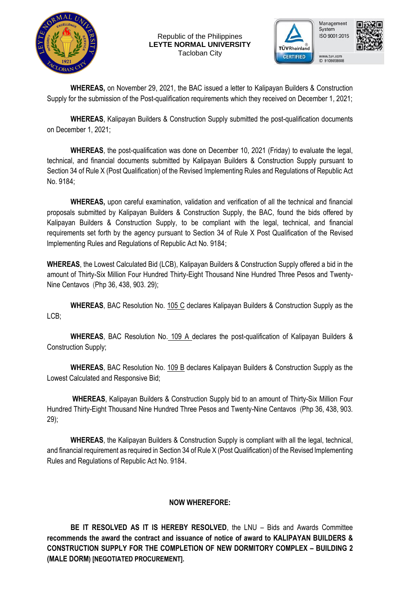

Republic of the Philippines **LEYTE NORMAL UNIVERSITY** Tacloban City





**WHEREAS,** on November 29, 2021, the BAC issued a letter to Kalipayan Builders & Construction Supply for the submission of the Post-qualification requirements which they received on December 1, 2021;

**WHEREAS**, Kalipayan Builders & Construction Supply submitted the post-qualification documents on December 1, 2021;

**WHEREAS**, the post-qualification was done on December 10, 2021 (Friday) to evaluate the legal, technical, and financial documents submitted by Kalipayan Builders & Construction Supply pursuant to Section 34 of Rule X (Post Qualification) of the Revised Implementing Rules and Regulations of Republic Act No. 9184;

**WHEREAS,** upon careful examination, validation and verification of all the technical and financial proposals submitted by Kalipayan Builders & Construction Supply, the BAC, found the bids offered by Kalipayan Builders & Construction Supply, to be compliant with the legal, technical, and financial requirements set forth by the agency pursuant to Section 34 of Rule X Post Qualification of the Revised lmplementing Rules and Regulations of Republic Act No. 9184;

**WHEREAS**, the Lowest Calculated Bid (LCB), Kalipayan Builders & Construction Supply offered a bid in the amount of Thirty-Six Million Four Hundred Thirty-Eight Thousand Nine Hundred Three Pesos and Twenty-Nine Centavos (Php 36, 438, 903. 29);

**WHEREAS**, BAC Resolution No. 105 C declares Kalipayan Builders & Construction Supply as the LCB;

**WHEREAS**, BAC Resolution No. 109 A declares the post-qualification of Kalipayan Builders & Construction Supply;

**WHEREAS**, BAC Resolution No. 109 B declares Kalipayan Builders & Construction Supply as the Lowest Calculated and Responsive Bid;

**WHEREAS**, Kalipayan Builders & Construction Supply bid to an amount of Thirty-Six Million Four Hundred Thirty-Eight Thousand Nine Hundred Three Pesos and Twenty-Nine Centavos (Php 36, 438, 903. 29);

**WHEREAS**, the Kalipayan Builders & Construction Supply is compliant with all the legal, technical, and financial requirement as required in Section 34 of Rule X (Post Qualification) of the Revised lmplementing Rules and Regulations of Republic Act No. 9184.

## **NOW WHEREFORE:**

**BE IT RESOLVED AS IT IS HEREBY RESOLVED**, the LNU – Bids and Awards Committee **recommends the award the contract and issuance of notice of award to KALIPAYAN BUILDERS & CONSTRUCTION SUPPLY FOR THE COMPLETION OF NEW DORMITORY COMPLEX – BUILDING 2 (MALE DORM) [NEGOTIATED PROCUREMENT].**